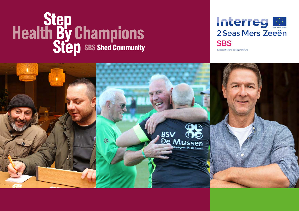# **Step<br>Health By Champions<br>Step** sas Shed Community

# Interreg **M** 2 Seas Mers Zeeën **SBS**

European Regional Development Fund

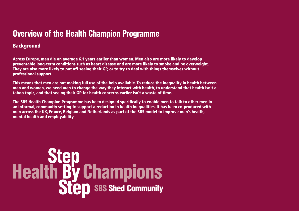# Overview of the Health Champion Programme

#### **Background**

Across Europe, men die on average 6.1 years earlier than women. Men also are more likely to develop preventable long-term conditions such as heart disease and are more likely to smoke and be overweight. They are also more likely to put off seeing their GP, or to try to deal with things themselves without professional support.

This means that men are not making full use of the help available. To reduce the inequality in health between men and women, we need men to change the way they interact with health, to understand that health isn't a taboo topic, and that seeing their GP for health concerns earlier isn't a waste of time.

The SBS Health Champion Programme has been designed specifically to enable men to talk to other men in an informal, community setting to support a reduction in health inequalities. It has been co-produced with men across the UK, France, Belgium and Netherlands as part of the SBS model to improve men's health, mental health and employability.

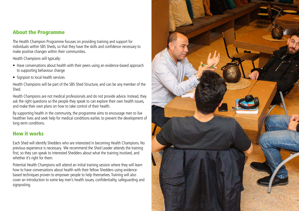#### About the Programme

The Health Champion Programme focuses on providing training and support for individuals within SBS Sheds, so that they have the skills and confidence necessary to make positive changes within their communities.

Health Champions will typically:

- Have conversations about health with their peers using an evidence-based approach to supporting behaviour change
- Signpost to local health services

Health Champions will be part of the SBS Shed Structure, and can be any member of the Shed.

Health Champions are not medical professionals and do not provide advice. Instead, they ask the right questions so the people they speak to can explore their own health issues, and make their own plans on how to take control of their health.

By supporting health in the community, the programme aims to encourage men to live healthier lives and seek help for medical conditions earlier, to prevent the development of long-term conditions.

#### How it works

Each Shed will identify Shedders who are interested in becoming Health Champions. No previous experience is necessary. We recommend the Shed Leader attends the training first, so they can speak to interested Shedders about what the training involved, and whether it's right for them.

Potential Health Champions will attend an initial training session where they will learn how to have conversations about health with their fellow Shedders using evidencebased techniques proven to empower people to help themselves. Training will also cover an introduction to some key men's health issues, confidentiality, safeguarding and signposting.

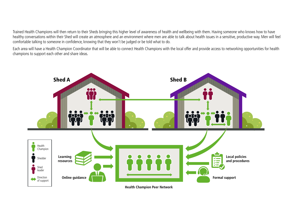Trained Health Champions will then return to their Sheds bringing this higher level of awareness of health and wellbeing with them. Having someone who knows how to have healthy conversations within their Shed will create an atmosphere and an environment where men are able to talk about health issues in a sensitive, productive way. Men will feel comfortable talking to someone in confidence, knowing that they won't be judged or be told what to do.

Each area will have a Health Champion Coordinator that will be able to connect Health Champions with the local offer and provide access to networking opportunities for health champions to support each other and share ideas.

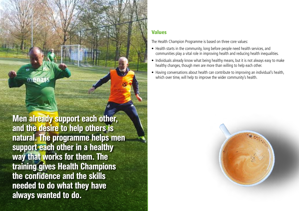Men already support each other, and the desire to help others is natural. The programme helps men support each other in a healthy way that works for them. The training gives Health Champions the confidence and the skills needed to do what they have always wanted to do.

#### Values

The Health Champion Programme is based on three core values:

- Health starts in the community, long before people need health services, and communities play a vital role in improving health and reducing health inequalities.
- Individuals already know what being healthy means, but it is not always easy to make healthy changes, though men are more than willing to help each other.
- Having conversations about health can contribute to improving an individual's health, which over time, will help to improve the wider community's health.

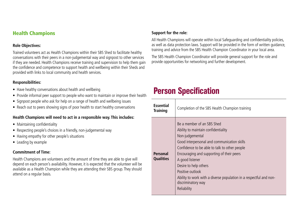#### Health Champions

#### **Role Objectives:**

Trained volunteers act as Health Champions within their SBS Shed to facilitate healthy conversations with their peers in a non-judgemental way and signpost to other services if they are needed. Health Champions receive training and supervision to help them gain the confidence and competence to support health and wellbeing within their Sheds and provided with links to local community and health services.

#### **Responsibilities:**

- Have healthy conversations about health and wellbeing
- Provide informal peer support to people who want to maintain or improve their health
- Signpost people who ask for help on a range of health and wellbeing issues
- Reach out to peers showing signs of poor health to start healthy conversations

#### **Health Champions will need to act in a responsible way. This includes:**

- Maintaining confidentiality
- Respecting people's choices in a friendly, non-judgemental way
- Having empathy for other people's situations
- Leading by example

#### **Commitment of Time:**

Health Champions are volunteers and the amount of time they are able to give will depend on each person's availability. However, it is expected that the volunteer will be available as a Health Champion while they are attending their SBS group. They should attend on a regular basis.

#### **Support for the role:**

All Health Champions will operate within local Safeguarding and confidentiality policies, as well as data protection laws. Support will be provided in the form of written guidance, training and advice from the SBS Health Champion Coordinator in your local area.

The SBS Health Champion Coordinator will provide general support for the role and provide opportunities for networking and further development.

# Person Specification

| <b>Essential</b><br><b>Training</b> | Completion of the SBS Health Champion training                                                                                                                                                                                                                                                                                                                                                               |  |  |
|-------------------------------------|--------------------------------------------------------------------------------------------------------------------------------------------------------------------------------------------------------------------------------------------------------------------------------------------------------------------------------------------------------------------------------------------------------------|--|--|
| <b>Personal</b><br><b>Qualities</b> | Be a member of an SBS Shed<br>Ability to maintain confidentiality<br>Non-judgemental<br>Good interpersonal and communication skills<br>Confidence to be able to talk to other people<br>Encouraging and supporting of their peers<br>A good listener<br>Desire to help others<br>Positive outlook<br>Ability to work with a diverse population in a respectful and non-<br>discriminatory way<br>Reliability |  |  |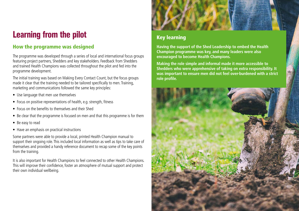# Learning from the pilot

#### How the programme was designed

The programme was developed through a series of local and international focus groups featuring project partners, Shedders and key stakeholders. Feedback from Shedders and trained Health Champions was collected throughout the pilot and fed into the programme development.

The initial training was based on Making Every Contact Count, but the focus groups made it clear that the training needed to be tailored specifically to men. Training, marketing and communications followed the same key principles:

- Use language that men use themselves
- Focus on positive representations of health, e.g. strength, fitness
- Focus on the benefits to themselves and their Shed
- Be clear that the programme is focused on men and that this programme is for them
- Be easy to read
- Have an emphasis on practical instructions

Some partners were able to provide a local, printed Health Champion manual to support their ongoing role. This included local information as well as tips to take care of themselves and provided a handy reference document to recap some of the key points from the training.

It is also important for Health Champions to feel connected to other Health Champions. This will improve their confidence, foster an atmosphere of mutual support and protect their own individual wellbeing.



#### Key learning

**Having the support of the Shed Leadership to embed the Health Champion programme was key, and many leaders were also encouraged to become Health Champions.**

**Making the role simple and informal made it more accessible to Shedders who were apprehensive of taking on extra responsibility. It was important to ensure men did not feel over-burdened with a strict role profile.** 

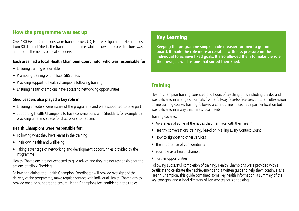#### How the programme was set up

Over 130 Health Champions were trained across UK, France, Belgium and Netherlands from 80 different Sheds. The training programme, while following a core structure, was adapted to the needs of local Shedders.

#### **Each area had a local Health Champion Coordinator who was responsible for:**

- Ensuring training is available
- Promoting training within local SBS Sheds
- Providing support to health champions following training
- Ensuring health champions have access to networking opportunities

#### **Shed Leaders also played a key role in:**

- Ensuring Shedders were aware of the programme and were supported to take part
- Supporting Health Champions to have conversations with Shedders, for example by providing time and space for discussions to happen.

#### **Health Champions were responsible for:**

- Following what they have learnt in the training
- Their own health and wellbeing
- Taking advantage of networking and development opportunities provided by the Programme

Health Champions are not expected to give advice and they are not responsible for the actions of fellow Shedders

Following training, the Health Champion Coordinator will provide oversight of the delivery of the programme, make regular contact with individual Health Champions to provide ongoing support and ensure Health Champions feel confident in their roles.

#### Key Learning

**Keeping the programme simple made it easier for men to get on board. It made the role more accessible, with less pressure on the individual to achieve fixed goals. It also allowed them to make the role their own, as well as one that suited their Shed.**

#### **Training**

Health Champion training consisted of 6 hours of teaching time, including breaks, and was delivered in a range of formats from a full-day face-to-face session to a multi-session online training course. Training followed a core outline in each SBS partner location but was delivered in a way that meets local needs.

Training covered:

- Awareness of some of the issues that men face with their health
- Healthy conversations training, based on Making Every Contact Count
- How to signpost to other services
- The importance of confidentiality
- Your role as a health champion
- Further opportunities

Following successful completion of training, Health Champions were provided with a certificate to celebrate their achievement and a written guide to help them continue as a Health Champion. This guide contained some key health information, a summary of the key concepts, and a local directory of key services for signposting.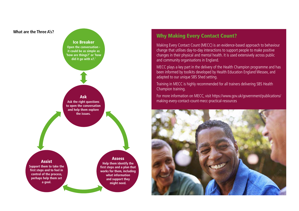

#### Why Making Every Contact Count?

Making Every Contact Count (MECC) is an evidence-based approach to behaviour change that utilises day-to-day interactions to support people to make positive changes in their physical and mental health. It is used extensively across public and community organisations in England.

MECC plays a key part in the delivery of the Health Champion programme and has been informed by toolkits developed by Health Education England Wessex, and adapted to our unique SBS Shed setting.

Training in MECC is highly recommended for all trainers delivering SBS Health Champion training.

For more information on MECC, visit https://www.gov.uk/government/publications/ making-every-contact-count-mecc-practical-resources

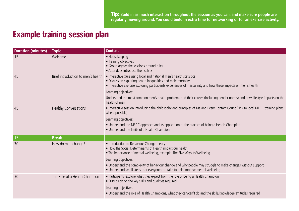# Example training session plan

| <b>Duration (minutes)</b> | <b>Topic</b>                       | <b>Content</b>                                                                                                                                                                                                                                                                                                               |
|---------------------------|------------------------------------|------------------------------------------------------------------------------------------------------------------------------------------------------------------------------------------------------------------------------------------------------------------------------------------------------------------------------|
| 15                        | Welcome                            | • Housekeeping<br>• Training objectives<br>• Group agrees the sessions ground rules<br>• Attendees introduce themselves                                                                                                                                                                                                      |
| 45                        | Brief introduction to men's health | • Interactive Quiz using local and national men's health statistics<br>• Discussion exploring health inequalities and male mortality<br>• Interactive exercise exploring participants experiences of masculinity and how these impacts on men's health<br>Learning objectives:                                               |
|                           |                                    | Understand the most common men's health problems and their causes (including gender norms) and how lifestyle impacts on the<br>health of men                                                                                                                                                                                 |
| 45                        | <b>Healthy Conversations</b>       | • Interactive session introducing the philosophy and principles of Making Every Contact Count (Link to local MECC training plans<br>where possible)<br>Learning objectives:<br>• Understand the MECC approach and its application to the practice of being a Health Champion<br>• Understand the limits of a Health Champion |
|                           |                                    |                                                                                                                                                                                                                                                                                                                              |
| 15                        | <b>Break</b>                       |                                                                                                                                                                                                                                                                                                                              |
| 30                        | How do men change?                 | • Introduction to Behaviour Change theory<br>. How the Social Determinants of Health impact our health<br>. The importance of mental wellbeing, example: The Five Ways to Wellbeing                                                                                                                                          |
|                           |                                    | Learning objectives:                                                                                                                                                                                                                                                                                                         |
|                           |                                    | • Understand the complexity of behaviour change and why people may struggle to make changes without support<br>• Understand small steps that everyone can take to help improve mental wellbeing                                                                                                                              |
| 30                        | The Role of a Health Champion      | • Participants explore what they expect from the role of being a Health Champion<br>· Discussion on the key skills and qualities required<br>Learning objectives:<br>• Understand the role of Health Champions, what they can/can't do and the skills/knowledge/attitudes required                                           |
|                           |                                    |                                                                                                                                                                                                                                                                                                                              |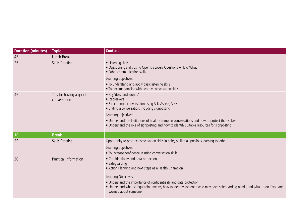| <b>Duration (minutes)</b> | <b>Topic</b>                           | <b>Content</b>                                                                                                                                                                                                                                                                                                                                                               |
|---------------------------|----------------------------------------|------------------------------------------------------------------------------------------------------------------------------------------------------------------------------------------------------------------------------------------------------------------------------------------------------------------------------------------------------------------------------|
| 45                        | Lunch Break                            |                                                                                                                                                                                                                                                                                                                                                                              |
| 25                        | <b>Skills Practice</b>                 | • Listening skills<br>. Questioning skills using Open Discovery Questions - How, What<br>• Other communication skills<br>Learning objectives:<br>• To understand and apply basic listening skills<br>. To become familiar with healthy conversation skills                                                                                                                   |
| 45                        | Tips for having a good<br>conversation | • Key 'do's' and 'don'ts'<br>• Icebreakers<br>• Structuring a conversation using Ask, Assess, Assist<br>• Ending a conversation, including signposting<br>Learning objectives:<br>• Understand the limitations of health champion conversations and how to protect themselves<br>• Understand the role of signposting and how to identify suitable resources for signposting |
| $\vert$ 10                | <b>Break</b>                           |                                                                                                                                                                                                                                                                                                                                                                              |
| 25                        | <b>Skills Practice</b>                 | Opportunity to practice conversation skills in pairs, pulling all previous learning together<br>Learning objectives:<br>• To increase confidence in using conversation skills                                                                                                                                                                                                |
| 30                        | Practical Information                  | • Confidentiality and data protection<br>• Safeguarding<br>• Action Planning and next steps as a Health Champion<br>Learning Objectives:<br>• Understand the importance of confidentiality and data protection<br>• Understand what safeguarding means, how to identify someone who may have safeguarding needs, and what to do if you are<br>worried about someone          |